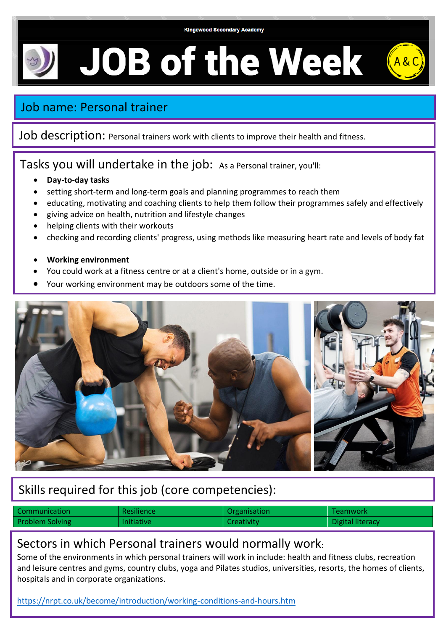#### **Kingswood Secondary Academy**

# **JOB of the Week**

# Job name: Personal trainer

Job description: Personal trainers work with clients to improve their health and fitness.

### Tasks you will undertake in the job: As a Personal trainer, you'll:

- **Day-to-day tasks**
- setting short-term and long-term goals and planning programmes to reach them
- educating, motivating and coaching clients to help them follow their programmes safely and effectively
- giving advice on health, nutrition and lifestyle changes
- helping clients with their workouts
- checking and recording clients' progress, using methods like measuring heart rate and levels of body fat
- **Working environment**
- You could work at a fitness centre or at a client's home, outside or in a gym.
- Your working environment may be outdoors some of the time.



# Skills required for this job (core competencies):

| Communication          | Resilience        | Organisation | Teamwork         |
|------------------------|-------------------|--------------|------------------|
| <b>Problem Solving</b> | <b>Initiative</b> | Creativity   | Digital literacy |

### Sectors in which Personal trainers would normally work:

Some of the environments in which personal trainers will work in include: health and fitness clubs, recreation and leisure centres and gyms, country clubs, yoga and Pilates studios, universities, resorts, the homes of clients, hospitals and in corporate organizations.

<https://nrpt.co.uk/become/introduction/working-conditions-and-hours.htm>